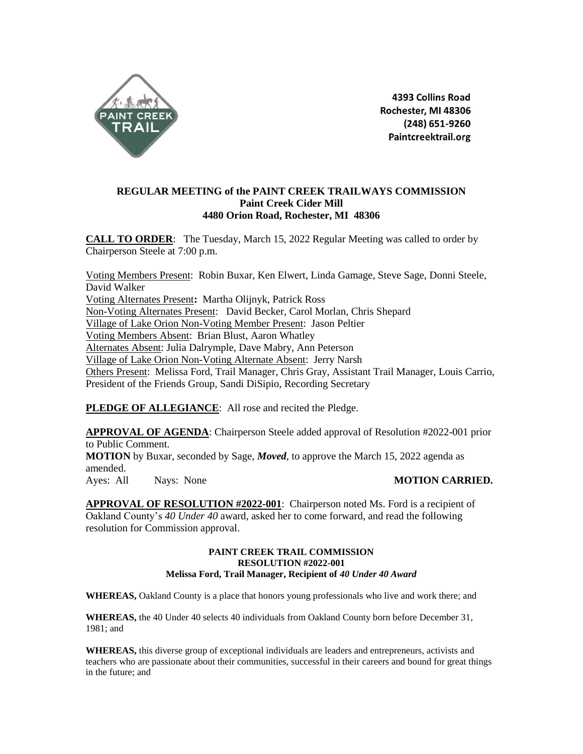

4393 Collins Road Rochester, MI 48306 (248) 651-9260 Paintcreektrail.org

## **REGULAR MEETING of the PAINT CREEK TRAILWAYS COMMISSION Paint Creek Cider Mill 4480 Orion Road, Rochester, MI 48306**

**CALL TO ORDER**: The Tuesday, March 15, 2022 Regular Meeting was called to order by Chairperson Steele at 7:00 p.m.

Voting Members Present: Robin Buxar, Ken Elwert, Linda Gamage, Steve Sage, Donni Steele, David Walker Voting Alternates Present**:** Martha Olijnyk, Patrick Ross Non-Voting Alternates Present: David Becker, Carol Morlan, Chris Shepard Village of Lake Orion Non-Voting Member Present: Jason Peltier Voting Members Absent: Brian Blust, Aaron Whatley Alternates Absent: Julia Dalrymple, Dave Mabry, Ann Peterson Village of Lake Orion Non-Voting Alternate Absent: Jerry Narsh Others Present: Melissa Ford, Trail Manager, Chris Gray, Assistant Trail Manager, Louis Carrio, President of the Friends Group, Sandi DiSipio, Recording Secretary

PLEDGE OF ALLEGIANCE: All rose and recited the Pledge.

**APPROVAL OF AGENDA**: Chairperson Steele added approval of Resolution #2022-001 prior to Public Comment. **MOTION** by Buxar, seconded by Sage, *Moved*, to approve the March 15, 2022 agenda as amended. Ayes: All Nays: None **MOTION CARRIED.** 

**APPROVAL OF RESOLUTION #2022-001**: Chairperson noted Ms. Ford is a recipient of Oakland County's *40 Under 40* award, asked her to come forward, and read the following resolution for Commission approval.

### **PAINT CREEK TRAIL COMMISSION RESOLUTION #2022-001 Melissa Ford, Trail Manager, Recipient of** *40 Under 40 Award*

**WHEREAS,** Oakland County is a place that honors young professionals who live and work there; and

**WHEREAS,** the 40 Under 40 selects 40 individuals from Oakland County born before December 31, 1981; and

**WHEREAS,** this diverse group of exceptional individuals are leaders and entrepreneurs, activists and teachers who are passionate about their communities, successful in their careers and bound for great things in the future; and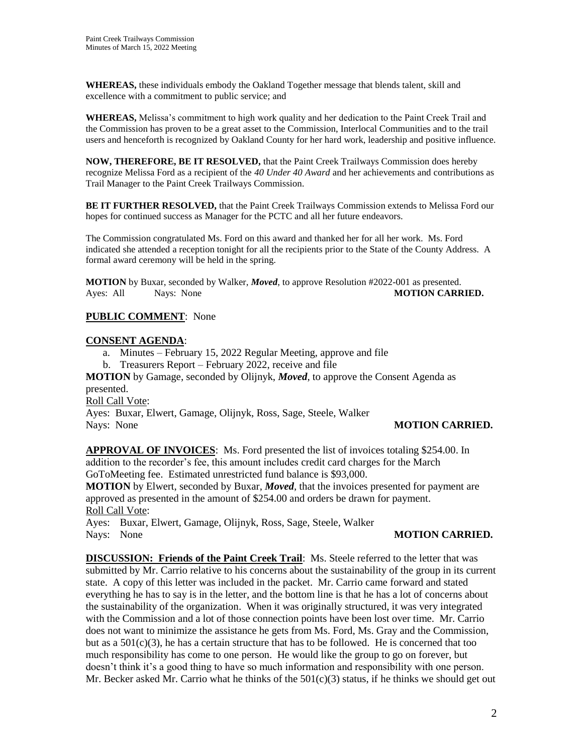**WHEREAS,** these individuals embody the Oakland Together message that blends talent, skill and excellence with a commitment to public service; and

**WHEREAS,** Melissa's commitment to high work quality and her dedication to the Paint Creek Trail and the Commission has proven to be a great asset to the Commission, Interlocal Communities and to the trail users and henceforth is recognized by Oakland County for her hard work, leadership and positive influence.

**NOW, THEREFORE, BE IT RESOLVED,** that the Paint Creek Trailways Commission does hereby recognize Melissa Ford as a recipient of the *40 Under 40 Award* and her achievements and contributions as Trail Manager to the Paint Creek Trailways Commission.

**BE IT FURTHER RESOLVED,** that the Paint Creek Trailways Commission extends to Melissa Ford our hopes for continued success as Manager for the PCTC and all her future endeavors.

The Commission congratulated Ms. Ford on this award and thanked her for all her work. Ms. Ford indicated she attended a reception tonight for all the recipients prior to the State of the County Address. A formal award ceremony will be held in the spring.

**MOTION** by Buxar, seconded by Walker, *Moved*, to approve Resolution #2022-001 as presented. Ayes: All Nays: None **MOTION CARRIED.** 

# **PUBLIC COMMENT**: None

## **CONSENT AGENDA**:

- a. Minutes February 15, 2022 Regular Meeting, approve and file
- b. Treasurers Report February 2022, receive and file

**MOTION** by Gamage, seconded by Olijnyk, *Moved*, to approve the Consent Agenda as presented.

Roll Call Vote:

Ayes: Buxar, Elwert, Gamage, Olijnyk, Ross, Sage, Steele, Walker Nays: None **MOTION CARRIED.** 

**APPROVAL OF INVOICES**: Ms. Ford presented the list of invoices totaling \$254.00. In addition to the recorder's fee, this amount includes credit card charges for the March GoToMeeting fee. Estimated unrestricted fund balance is \$93,000.

**MOTION** by Elwert, seconded by Buxar, *Moved*, that the invoices presented for payment are approved as presented in the amount of \$254.00 and orders be drawn for payment. Roll Call Vote:

Ayes: Buxar, Elwert, Gamage, Olijnyk, Ross, Sage, Steele, Walker Nays: None **MOTION CARRIED.** 

**DISCUSSION: Friends of the Paint Creek Trail**: Ms. Steele referred to the letter that was submitted by Mr. Carrio relative to his concerns about the sustainability of the group in its current state. A copy of this letter was included in the packet. Mr. Carrio came forward and stated everything he has to say is in the letter, and the bottom line is that he has a lot of concerns about the sustainability of the organization. When it was originally structured, it was very integrated with the Commission and a lot of those connection points have been lost over time. Mr. Carrio does not want to minimize the assistance he gets from Ms. Ford, Ms. Gray and the Commission, but as a  $501(c)(3)$ , he has a certain structure that has to be followed. He is concerned that too much responsibility has come to one person. He would like the group to go on forever, but doesn't think it's a good thing to have so much information and responsibility with one person. Mr. Becker asked Mr. Carrio what he thinks of the  $501(c)(3)$  status, if he thinks we should get out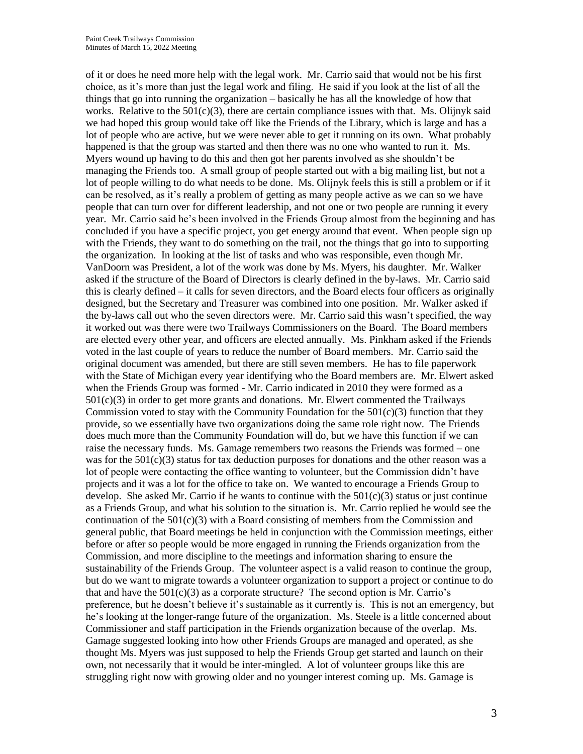of it or does he need more help with the legal work. Mr. Carrio said that would not be his first choice, as it's more than just the legal work and filing. He said if you look at the list of all the things that go into running the organization – basically he has all the knowledge of how that works. Relative to the  $501(c)(3)$ , there are certain compliance issues with that. Ms. Olijnyk said we had hoped this group would take off like the Friends of the Library, which is large and has a lot of people who are active, but we were never able to get it running on its own. What probably happened is that the group was started and then there was no one who wanted to run it. Ms. Myers wound up having to do this and then got her parents involved as she shouldn't be managing the Friends too. A small group of people started out with a big mailing list, but not a lot of people willing to do what needs to be done. Ms. Olijnyk feels this is still a problem or if it can be resolved, as it's really a problem of getting as many people active as we can so we have people that can turn over for different leadership, and not one or two people are running it every year. Mr. Carrio said he's been involved in the Friends Group almost from the beginning and has concluded if you have a specific project, you get energy around that event. When people sign up with the Friends, they want to do something on the trail, not the things that go into to supporting the organization. In looking at the list of tasks and who was responsible, even though Mr. VanDoorn was President, a lot of the work was done by Ms. Myers, his daughter. Mr. Walker asked if the structure of the Board of Directors is clearly defined in the by-laws. Mr. Carrio said this is clearly defined – it calls for seven directors, and the Board elects four officers as originally designed, but the Secretary and Treasurer was combined into one position. Mr. Walker asked if the by-laws call out who the seven directors were. Mr. Carrio said this wasn't specified, the way it worked out was there were two Trailways Commissioners on the Board. The Board members are elected every other year, and officers are elected annually. Ms. Pinkham asked if the Friends voted in the last couple of years to reduce the number of Board members. Mr. Carrio said the original document was amended, but there are still seven members. He has to file paperwork with the State of Michigan every year identifying who the Board members are. Mr. Elwert asked when the Friends Group was formed - Mr. Carrio indicated in 2010 they were formed as a  $501(c)(3)$  in order to get more grants and donations. Mr. Elwert commented the Trailways Commission voted to stay with the Community Foundation for the  $501(c)(3)$  function that they provide, so we essentially have two organizations doing the same role right now. The Friends does much more than the Community Foundation will do, but we have this function if we can raise the necessary funds. Ms. Gamage remembers two reasons the Friends was formed – one was for the  $501(c)(3)$  status for tax deduction purposes for donations and the other reason was a lot of people were contacting the office wanting to volunteer, but the Commission didn't have projects and it was a lot for the office to take on. We wanted to encourage a Friends Group to develop. She asked Mr. Carrio if he wants to continue with the  $501(c)(3)$  status or just continue as a Friends Group, and what his solution to the situation is. Mr. Carrio replied he would see the continuation of the  $501(c)(3)$  with a Board consisting of members from the Commission and general public, that Board meetings be held in conjunction with the Commission meetings, either before or after so people would be more engaged in running the Friends organization from the Commission, and more discipline to the meetings and information sharing to ensure the sustainability of the Friends Group. The volunteer aspect is a valid reason to continue the group, but do we want to migrate towards a volunteer organization to support a project or continue to do that and have the  $501(c)(3)$  as a corporate structure? The second option is Mr. Carrio's preference, but he doesn't believe it's sustainable as it currently is. This is not an emergency, but he's looking at the longer-range future of the organization. Ms. Steele is a little concerned about Commissioner and staff participation in the Friends organization because of the overlap. Ms. Gamage suggested looking into how other Friends Groups are managed and operated, as she thought Ms. Myers was just supposed to help the Friends Group get started and launch on their own, not necessarily that it would be inter-mingled. A lot of volunteer groups like this are struggling right now with growing older and no younger interest coming up. Ms. Gamage is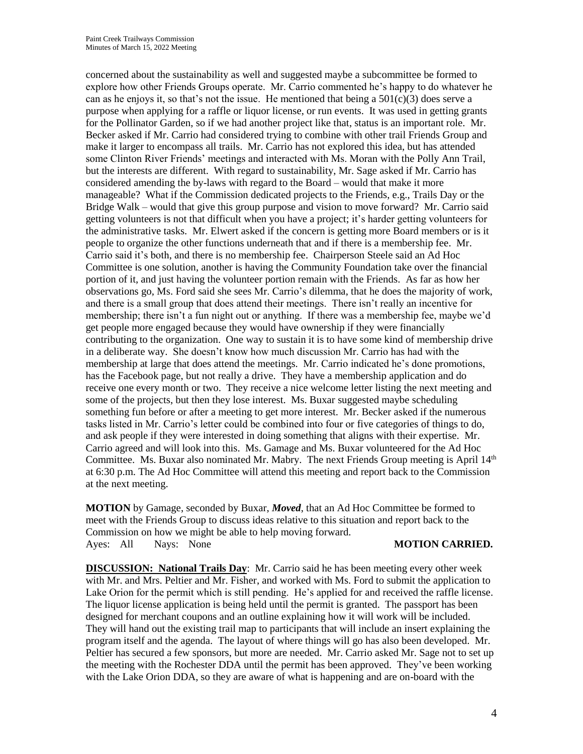concerned about the sustainability as well and suggested maybe a subcommittee be formed to explore how other Friends Groups operate. Mr. Carrio commented he's happy to do whatever he can as he enjoys it, so that's not the issue. He mentioned that being a  $501(c)(3)$  does serve a purpose when applying for a raffle or liquor license, or run events. It was used in getting grants for the Pollinator Garden, so if we had another project like that, status is an important role. Mr. Becker asked if Mr. Carrio had considered trying to combine with other trail Friends Group and make it larger to encompass all trails. Mr. Carrio has not explored this idea, but has attended some Clinton River Friends' meetings and interacted with Ms. Moran with the Polly Ann Trail, but the interests are different. With regard to sustainability, Mr. Sage asked if Mr. Carrio has considered amending the by-laws with regard to the Board – would that make it more manageable? What if the Commission dedicated projects to the Friends, e.g., Trails Day or the Bridge Walk – would that give this group purpose and vision to move forward? Mr. Carrio said getting volunteers is not that difficult when you have a project; it's harder getting volunteers for the administrative tasks. Mr. Elwert asked if the concern is getting more Board members or is it people to organize the other functions underneath that and if there is a membership fee. Mr. Carrio said it's both, and there is no membership fee. Chairperson Steele said an Ad Hoc Committee is one solution, another is having the Community Foundation take over the financial portion of it, and just having the volunteer portion remain with the Friends. As far as how her observations go, Ms. Ford said she sees Mr. Carrio's dilemma, that he does the majority of work, and there is a small group that does attend their meetings. There isn't really an incentive for membership; there isn't a fun night out or anything. If there was a membership fee, maybe we'd get people more engaged because they would have ownership if they were financially contributing to the organization. One way to sustain it is to have some kind of membership drive in a deliberate way. She doesn't know how much discussion Mr. Carrio has had with the membership at large that does attend the meetings. Mr. Carrio indicated he's done promotions, has the Facebook page, but not really a drive. They have a membership application and do receive one every month or two. They receive a nice welcome letter listing the next meeting and some of the projects, but then they lose interest. Ms. Buxar suggested maybe scheduling something fun before or after a meeting to get more interest. Mr. Becker asked if the numerous tasks listed in Mr. Carrio's letter could be combined into four or five categories of things to do, and ask people if they were interested in doing something that aligns with their expertise. Mr. Carrio agreed and will look into this. Ms. Gamage and Ms. Buxar volunteered for the Ad Hoc Committee. Ms. Buxar also nominated Mr. Mabry. The next Friends Group meeting is April  $14<sup>th</sup>$ at 6:30 p.m. The Ad Hoc Committee will attend this meeting and report back to the Commission at the next meeting.

**MOTION** by Gamage, seconded by Buxar, *Moved*, that an Ad Hoc Committee be formed to meet with the Friends Group to discuss ideas relative to this situation and report back to the Commission on how we might be able to help moving forward. Ayes: All Nays: None **MOTION CARRIED.** 

**DISCUSSION: National Trails Day**: Mr. Carrio said he has been meeting every other week with Mr. and Mrs. Peltier and Mr. Fisher, and worked with Ms. Ford to submit the application to Lake Orion for the permit which is still pending. He's applied for and received the raffle license. The liquor license application is being held until the permit is granted. The passport has been designed for merchant coupons and an outline explaining how it will work will be included. They will hand out the existing trail map to participants that will include an insert explaining the program itself and the agenda. The layout of where things will go has also been developed. Mr. Peltier has secured a few sponsors, but more are needed. Mr. Carrio asked Mr. Sage not to set up the meeting with the Rochester DDA until the permit has been approved. They've been working with the Lake Orion DDA, so they are aware of what is happening and are on-board with the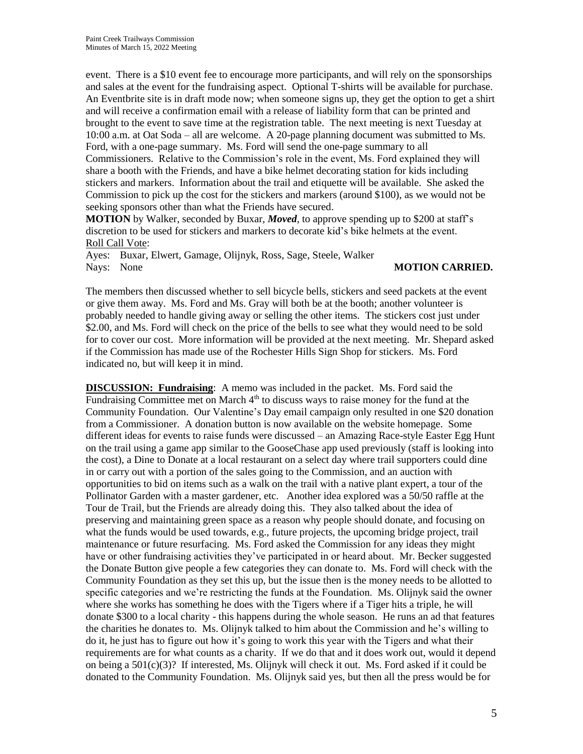event. There is a \$10 event fee to encourage more participants, and will rely on the sponsorships and sales at the event for the fundraising aspect. Optional T-shirts will be available for purchase. An Eventbrite site is in draft mode now; when someone signs up, they get the option to get a shirt and will receive a confirmation email with a release of liability form that can be printed and brought to the event to save time at the registration table. The next meeting is next Tuesday at 10:00 a.m. at Oat Soda – all are welcome. A 20-page planning document was submitted to Ms. Ford, with a one-page summary. Ms. Ford will send the one-page summary to all Commissioners. Relative to the Commission's role in the event, Ms. Ford explained they will share a booth with the Friends, and have a bike helmet decorating station for kids including stickers and markers. Information about the trail and etiquette will be available. She asked the Commission to pick up the cost for the stickers and markers (around \$100), as we would not be seeking sponsors other than what the Friends have secured.

**MOTION** by Walker, seconded by Buxar, *Moved*, to approve spending up to \$200 at staff's discretion to be used for stickers and markers to decorate kid's bike helmets at the event. Roll Call Vote:

Ayes: Buxar, Elwert, Gamage, Olijnyk, Ross, Sage, Steele, Walker Nays: None **MOTION CARRIED.** 

The members then discussed whether to sell bicycle bells, stickers and seed packets at the event or give them away. Ms. Ford and Ms. Gray will both be at the booth; another volunteer is probably needed to handle giving away or selling the other items. The stickers cost just under \$2.00, and Ms. Ford will check on the price of the bells to see what they would need to be sold for to cover our cost. More information will be provided at the next meeting. Mr. Shepard asked if the Commission has made use of the Rochester Hills Sign Shop for stickers. Ms. Ford indicated no, but will keep it in mind.

**DISCUSSION: Fundraising**: A memo was included in the packet. Ms. Ford said the Fundraising Committee met on March  $4<sup>th</sup>$  to discuss ways to raise money for the fund at the Community Foundation. Our Valentine's Day email campaign only resulted in one \$20 donation from a Commissioner. A donation button is now available on the website homepage. Some different ideas for events to raise funds were discussed – an Amazing Race-style Easter Egg Hunt on the trail using a game app similar to the GooseChase app used previously (staff is looking into the cost), a Dine to Donate at a local restaurant on a select day where trail supporters could dine in or carry out with a portion of the sales going to the Commission, and an auction with opportunities to bid on items such as a walk on the trail with a native plant expert, a tour of the Pollinator Garden with a master gardener, etc. Another idea explored was a 50/50 raffle at the Tour de Trail, but the Friends are already doing this. They also talked about the idea of preserving and maintaining green space as a reason why people should donate, and focusing on what the funds would be used towards, e.g., future projects, the upcoming bridge project, trail maintenance or future resurfacing. Ms. Ford asked the Commission for any ideas they might have or other fundraising activities they've participated in or heard about. Mr. Becker suggested the Donate Button give people a few categories they can donate to. Ms. Ford will check with the Community Foundation as they set this up, but the issue then is the money needs to be allotted to specific categories and we're restricting the funds at the Foundation. Ms. Olijnyk said the owner where she works has something he does with the Tigers where if a Tiger hits a triple, he will donate \$300 to a local charity - this happens during the whole season. He runs an ad that features the charities he donates to. Ms. Olijnyk talked to him about the Commission and he's willing to do it, he just has to figure out how it's going to work this year with the Tigers and what their requirements are for what counts as a charity. If we do that and it does work out, would it depend on being a 501(c)(3)? If interested, Ms. Olijnyk will check it out. Ms. Ford asked if it could be donated to the Community Foundation. Ms. Olijnyk said yes, but then all the press would be for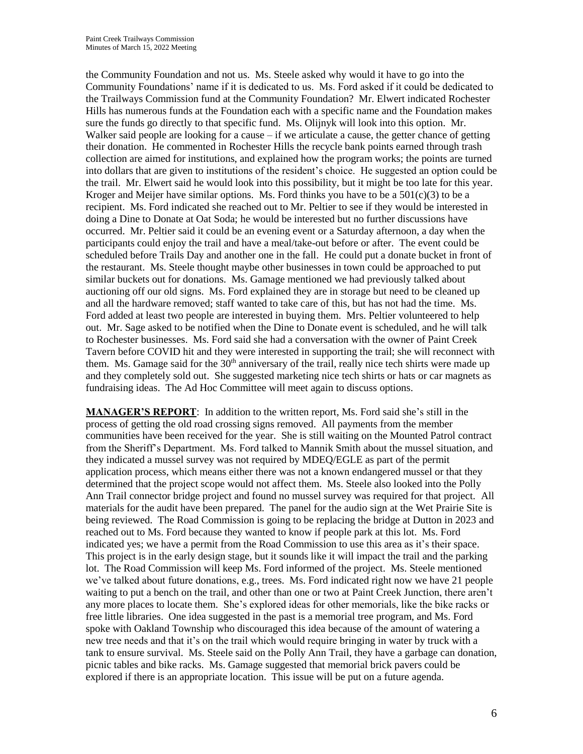the Community Foundation and not us. Ms. Steele asked why would it have to go into the Community Foundations' name if it is dedicated to us. Ms. Ford asked if it could be dedicated to the Trailways Commission fund at the Community Foundation? Mr. Elwert indicated Rochester Hills has numerous funds at the Foundation each with a specific name and the Foundation makes sure the funds go directly to that specific fund. Ms. Olijnyk will look into this option. Mr. Walker said people are looking for a cause  $-$  if we articulate a cause, the getter chance of getting their donation. He commented in Rochester Hills the recycle bank points earned through trash collection are aimed for institutions, and explained how the program works; the points are turned into dollars that are given to institutions of the resident's choice. He suggested an option could be the trail. Mr. Elwert said he would look into this possibility, but it might be too late for this year. Kroger and Meijer have similar options. Ms. Ford thinks you have to be a  $501(c)(3)$  to be a recipient. Ms. Ford indicated she reached out to Mr. Peltier to see if they would be interested in doing a Dine to Donate at Oat Soda; he would be interested but no further discussions have occurred. Mr. Peltier said it could be an evening event or a Saturday afternoon, a day when the participants could enjoy the trail and have a meal/take-out before or after. The event could be scheduled before Trails Day and another one in the fall. He could put a donate bucket in front of the restaurant. Ms. Steele thought maybe other businesses in town could be approached to put similar buckets out for donations. Ms. Gamage mentioned we had previously talked about auctioning off our old signs. Ms. Ford explained they are in storage but need to be cleaned up and all the hardware removed; staff wanted to take care of this, but has not had the time. Ms. Ford added at least two people are interested in buying them. Mrs. Peltier volunteered to help out. Mr. Sage asked to be notified when the Dine to Donate event is scheduled, and he will talk to Rochester businesses. Ms. Ford said she had a conversation with the owner of Paint Creek Tavern before COVID hit and they were interested in supporting the trail; she will reconnect with them. Ms. Gamage said for the  $30<sup>th</sup>$  anniversary of the trail, really nice tech shirts were made up and they completely sold out. She suggested marketing nice tech shirts or hats or car magnets as fundraising ideas. The Ad Hoc Committee will meet again to discuss options.

**MANAGER'S REPORT**: In addition to the written report, Ms. Ford said she's still in the process of getting the old road crossing signs removed. All payments from the member communities have been received for the year. She is still waiting on the Mounted Patrol contract from the Sheriff's Department. Ms. Ford talked to Mannik Smith about the mussel situation, and they indicated a mussel survey was not required by MDEQ/EGLE as part of the permit application process, which means either there was not a known endangered mussel or that they determined that the project scope would not affect them. Ms. Steele also looked into the Polly Ann Trail connector bridge project and found no mussel survey was required for that project. All materials for the audit have been prepared. The panel for the audio sign at the Wet Prairie Site is being reviewed. The Road Commission is going to be replacing the bridge at Dutton in 2023 and reached out to Ms. Ford because they wanted to know if people park at this lot. Ms. Ford indicated yes; we have a permit from the Road Commission to use this area as it's their space. This project is in the early design stage, but it sounds like it will impact the trail and the parking lot. The Road Commission will keep Ms. Ford informed of the project. Ms. Steele mentioned we've talked about future donations, e.g., trees. Ms. Ford indicated right now we have 21 people waiting to put a bench on the trail, and other than one or two at Paint Creek Junction, there aren't any more places to locate them. She's explored ideas for other memorials, like the bike racks or free little libraries. One idea suggested in the past is a memorial tree program, and Ms. Ford spoke with Oakland Township who discouraged this idea because of the amount of watering a new tree needs and that it's on the trail which would require bringing in water by truck with a tank to ensure survival. Ms. Steele said on the Polly Ann Trail, they have a garbage can donation, picnic tables and bike racks. Ms. Gamage suggested that memorial brick pavers could be explored if there is an appropriate location. This issue will be put on a future agenda.